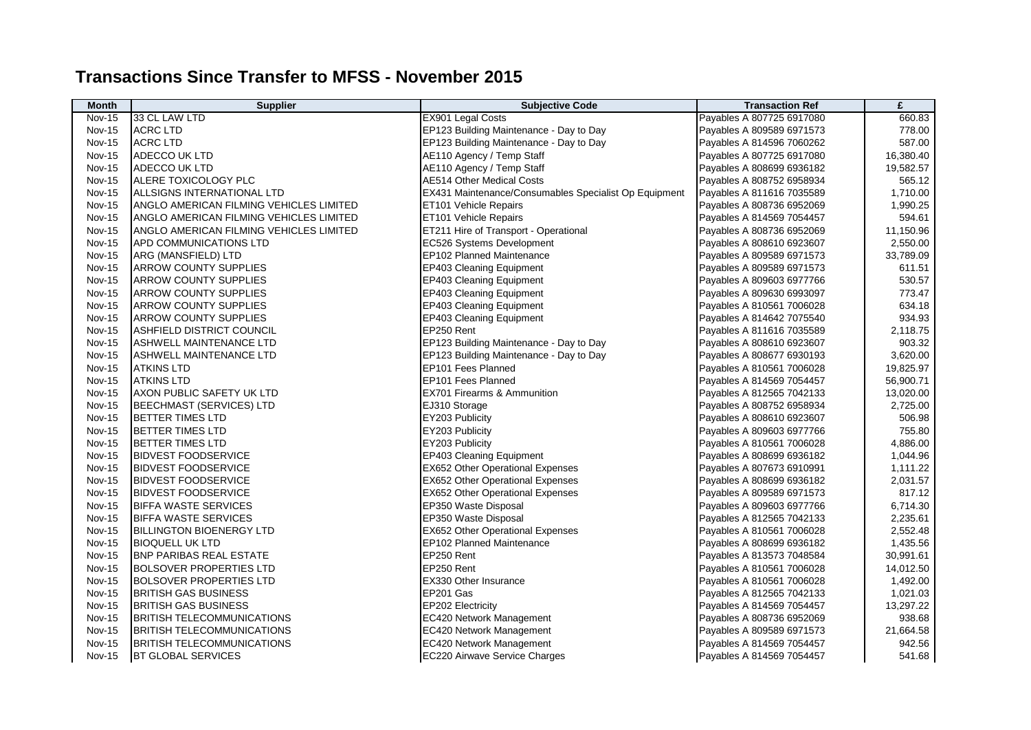## **Transactions Since Transfer to MFSS - November 2015**

| <b>Month</b>  | <b>Supplier</b>                                | <b>Subjective Code</b>                                | <b>Transaction Ref</b>    | £         |
|---------------|------------------------------------------------|-------------------------------------------------------|---------------------------|-----------|
| Nov-15        | 33 CL LAW LTD                                  | <b>EX901 Legal Costs</b>                              | Payables A 807725 6917080 | 660.83    |
| <b>Nov-15</b> | <b>ACRC LTD</b>                                | EP123 Building Maintenance - Day to Day               | Payables A 809589 6971573 | 778.00    |
| <b>Nov-15</b> | <b>ACRC LTD</b>                                | EP123 Building Maintenance - Day to Day               | Payables A 814596 7060262 | 587.00    |
| <b>Nov-15</b> | ADECCO UK LTD                                  | AE110 Agency / Temp Staff                             | Payables A 807725 6917080 | 16,380.40 |
| <b>Nov-15</b> | ADECCO UK LTD                                  | AE110 Agency / Temp Staff                             | Payables A 808699 6936182 | 19,582.57 |
| <b>Nov-15</b> | <b>ALERE TOXICOLOGY PLC</b>                    | <b>AE514 Other Medical Costs</b>                      | Payables A 808752 6958934 | 565.12    |
| <b>Nov-15</b> | ALLSIGNS INTERNATIONAL LTD                     | EX431 Maintenance/Consumables Specialist Op Equipment | Payables A 811616 7035589 | 1,710.00  |
| <b>Nov-15</b> | ANGLO AMERICAN FILMING VEHICLES LIMITED        | ET101 Vehicle Repairs                                 | Payables A 808736 6952069 | 1,990.25  |
| <b>Nov-15</b> | <b>ANGLO AMERICAN FILMING VEHICLES LIMITED</b> | ET101 Vehicle Repairs                                 | Payables A 814569 7054457 | 594.61    |
| <b>Nov-15</b> | ANGLO AMERICAN FILMING VEHICLES LIMITED        | ET211 Hire of Transport - Operational                 | Payables A 808736 6952069 | 11,150.96 |
| <b>Nov-15</b> | <b>APD COMMUNICATIONS LTD</b>                  | EC526 Systems Development                             | Payables A 808610 6923607 | 2,550.00  |
| <b>Nov-15</b> | ARG (MANSFIELD) LTD                            | EP102 Planned Maintenance                             | Payables A 809589 6971573 | 33,789.09 |
| <b>Nov-15</b> | <b>ARROW COUNTY SUPPLIES</b>                   | EP403 Cleaning Equipment                              | Payables A 809589 6971573 | 611.51    |
| <b>Nov-15</b> | <b>ARROW COUNTY SUPPLIES</b>                   | <b>EP403 Cleaning Equipment</b>                       | Payables A 809603 6977766 | 530.57    |
| <b>Nov-15</b> | <b>ARROW COUNTY SUPPLIES</b>                   | <b>EP403 Cleaning Equipment</b>                       | Payables A 809630 6993097 | 773.47    |
| <b>Nov-15</b> | <b>ARROW COUNTY SUPPLIES</b>                   | <b>EP403 Cleaning Equipment</b>                       | Payables A 810561 7006028 | 634.18    |
| <b>Nov-15</b> | <b>ARROW COUNTY SUPPLIES</b>                   | EP403 Cleaning Equipment                              | Payables A 814642 7075540 | 934.93    |
| <b>Nov-15</b> | ASHFIELD DISTRICT COUNCIL                      | EP250 Rent                                            | Payables A 811616 7035589 | 2,118.75  |
| <b>Nov-15</b> | <b>ASHWELL MAINTENANCE LTD</b>                 | EP123 Building Maintenance - Day to Day               | Payables A 808610 6923607 | 903.32    |
| <b>Nov-15</b> | <b>ASHWELL MAINTENANCE LTD</b>                 | EP123 Building Maintenance - Day to Day               | Payables A 808677 6930193 | 3,620.00  |
| <b>Nov-15</b> | <b>ATKINS LTD</b>                              | EP101 Fees Planned                                    | Payables A 810561 7006028 | 19,825.97 |
| <b>Nov-15</b> | <b>ATKINS LTD</b>                              | EP101 Fees Planned                                    | Payables A 814569 7054457 | 56,900.71 |
| <b>Nov-15</b> | AXON PUBLIC SAFETY UK LTD                      | <b>EX701 Firearms &amp; Ammunition</b>                | Payables A 812565 7042133 | 13,020.00 |
| <b>Nov-15</b> | <b>BEECHMAST (SERVICES) LTD</b>                | EJ310 Storage                                         | Payables A 808752 6958934 | 2,725.00  |
| <b>Nov-15</b> | <b>BETTER TIMES LTD</b>                        | EY203 Publicity                                       | Payables A 808610 6923607 | 506.98    |
| <b>Nov-15</b> | <b>IBETTER TIMES LTD</b>                       | EY203 Publicity                                       | Payables A 809603 6977766 | 755.80    |
| <b>Nov-15</b> | <b>I</b> BETTER TIMES LTD                      | EY203 Publicity                                       | Payables A 810561 7006028 | 4,886.00  |
| <b>Nov-15</b> | <b>BIDVEST FOODSERVICE</b>                     | <b>EP403 Cleaning Equipment</b>                       | Payables A 808699 6936182 | 1,044.96  |
| <b>Nov-15</b> | <b>BIDVEST FOODSERVICE</b>                     | <b>EX652 Other Operational Expenses</b>               | Payables A 807673 6910991 | 1,111.22  |
| <b>Nov-15</b> | <b>BIDVEST FOODSERVICE</b>                     | <b>EX652 Other Operational Expenses</b>               | Payables A 808699 6936182 | 2,031.57  |
| <b>Nov-15</b> | <b>BIDVEST FOODSERVICE</b>                     | EX652 Other Operational Expenses                      | Payables A 809589 6971573 | 817.12    |
| <b>Nov-15</b> | <b>BIFFA WASTE SERVICES</b>                    | EP350 Waste Disposal                                  | Payables A 809603 6977766 | 6,714.30  |
| <b>Nov-15</b> | <b>BIFFA WASTE SERVICES</b>                    | EP350 Waste Disposal                                  | Payables A 812565 7042133 | 2,235.61  |
| <b>Nov-15</b> | <b>BILLINGTON BIOENERGY LTD</b>                | EX652 Other Operational Expenses                      | Payables A 810561 7006028 | 2,552.48  |
| <b>Nov-15</b> | <b>BIOQUELL UK LTD</b>                         | EP102 Planned Maintenance                             | Payables A 808699 6936182 | 1,435.56  |
| <b>Nov-15</b> | <b>BNP PARIBAS REAL ESTATE</b>                 | EP250 Rent                                            | Payables A 813573 7048584 | 30,991.61 |
| <b>Nov-15</b> | BOLSOVER PROPERTIES LTD                        | EP250 Rent                                            | Payables A 810561 7006028 | 14,012.50 |
| <b>Nov-15</b> | BOLSOVER PROPERTIES LTD                        | EX330 Other Insurance                                 | Payables A 810561 7006028 | 1,492.00  |
| <b>Nov-15</b> | <b>I</b> BRITISH GAS BUSINESS                  | EP201 Gas                                             | Payables A 812565 7042133 | 1,021.03  |
| <b>Nov-15</b> | <b>BRITISH GAS BUSINESS</b>                    | <b>EP202 Electricity</b>                              | Payables A 814569 7054457 | 13,297.22 |
| <b>Nov-15</b> | <b>BRITISH TELECOMMUNICATIONS</b>              | EC420 Network Management                              | Payables A 808736 6952069 | 938.68    |
| <b>Nov-15</b> | BRITISH TELECOMMUNICATIONS                     | <b>EC420 Network Management</b>                       | Payables A 809589 6971573 | 21,664.58 |
| <b>Nov-15</b> | <b>BRITISH TELECOMMUNICATIONS</b>              | EC420 Network Management                              | Payables A 814569 7054457 | 942.56    |
| <b>Nov-15</b> | <b>BT GLOBAL SERVICES</b>                      | EC220 Airwave Service Charges                         | Payables A 814569 7054457 | 541.68    |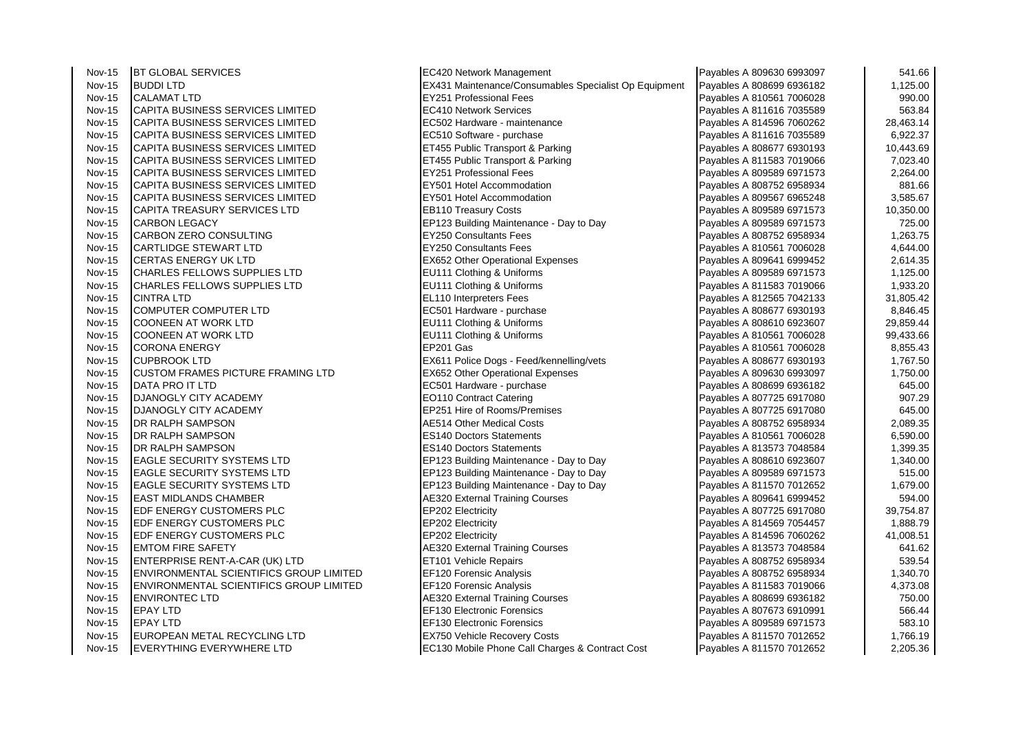Nov-15 BT GLOBAL SERVICES ECA20 Network Management Payable SECAL SERVICES ECA20 Network Management Payables A 809630 69930 69930 69930 69930 69930 69930 69930 69930 69930 69930 69930 69930 69930 69930 69930 69930 69930 699 Nov-15 EVERYTHING EVERYWHERE LTD EC130 Mobile Phone Call Charges & Contract Cost

Nov-15 BUDDI LTD **EX431 Maintenance/Consumables Specialist Op Equipment** Payable Nov-15 **CALAMAT LTD** Nov-15 |CALAMAT LTD |EY251 Professional Fees |Payables A 810561 7006028 | 990.00 Nov-15 CAPITA BUSINESS SERVICES LIMITED EC410 Network Services<br>Nov-15 CAPITA BUSINESS SERVICES LIMITED EC502 Hardware - maintenance Nov-15 CAPITA BUSINESS SERVICES LIMITED EC502 Hardware - maintenance CAPITA BUSINESS SERVICES LIMITED EXAMPLE<br>Nov-15 CAPITA BUSINESS SERVICES LIMITED EC510 Software - purchase Nov-15 CAPITA BUSINESS SERVICES LIMITED EC510 Software - purchase CAPITA BUSINESS SERVICES LIMITED<br>Nov-15 CAPITA BUSINESS SERVICES LIMITED EXAMPLE ET455 Public Transport & Parking Nov-15 CAPITA BUSINESS SERVICES LIMITED ET455 Public Transport & Parking CAPITA BUSINESS SERVICES LIMITED EXAMPLE<br>Nov-15 CAPITA BUSINESS SERVICES LIMITED ET455 Public Transport & Parking Nov-15 CAPITA BUSINESS SERVICES LIMITED ET455 Public Transport & Parking Payables A 811583 701906 Payable Rest<br>Nov-15 CAPITA BUSINESS SERVICES LIMITED EX251 Professional Fees Nov-15 CAPITA BUSINESS SERVICES LIMITED EX251 Professional Fees Payable Payable Restrict A 80951 Professional Fees<br>Nov-15 CAPITA BUSINESS SERVICES LIMITED EXPOSITED EXAMPLE RESOLATED Payable Payable Payable Restrict A 8097 Nov-15 CAPITA BUSINESS SERVICES LIMITED EX501 Hotel Accommodation EXAPTA BUSINESS SERVICES LIMITED<br>Nov-15 CAPITA BUSINESS SERVICES LIMITED EXECUTE EXECUTION EXAMPLE ACCOmmodation Nov-15 CAPITA BUSINESS SERVICES LIMITED EX501 Hotel Accommodation Payables A 809567 F2<br>Nov-15 CAPITA TREASURY SERVICES LTD EXAMPLE EB110 Treasury Costs Nov-15 CAPITA TREASURY SERVICES LTD EB110 Treasury Costs CAPITA TREASURY SERVICES LTD EXAMPLE EB110 Treasury Costs<br>Nov-15 CARBON LEGACY Payable Research CAPITA Building Maintenance - Day to Day Nov-15 CARBON LEGACY EP123 Building Maintenance - Day to Day Payable Rest Payable Rest Payable Rest Payable Re<br>Nov-15 CARBON ZERO CONSULTING Payable Rest Rest Payable Rest Payable Rest Payable Rest Payable Rest Payable Re Nov-15 CARBON ZERO CONSULTING EX250 Consultants Fees Payable Restrict A 808752 Fees Payable Restrict A 808752<br>Nov-15 CARTLIDGE STEWART LTD Nov-15 CARTLIDGE STEWART LTD Payable Stewart LTD EX250 Consultants Fees Payable Stewart Research 1991 1991 199<br>Nov-15 CERTAS ENFRGY UK LTD Payables A 810561 70061 70061 70061 70061 70061 70061 70061 70061 70061 70061 700 Nov-15 CERTAS ENERGY UK LTD<br>Nov-15 CHARLES FELLOWS SUPPLIES LTD EX652 Other Operational Expenses Payables A 8099452 Nov-15 CHARLES FELLOWS SUPPLIES LTD EU111 Clothing & Uniforms CHARLES FELLOWS SUPPLIES LTD FOR SA 809589 FELLOWS SUPPLIES LTD Nov-15 CHARLES FELLOWS SUPPLIES LTD EU111 Clothing & Uniforms CHARLES FELLOWS SUPPLIES LTD EXAMPLES RELATION I<br>Relation of the Bayables A 812 1,933.2019. Nov-15 |CINTRA LTD |EL110 Interpreters Fees |Payables A 812565 7042133 | 31,805.42 Nov-15 COMPUTER COMPUTER LTD EC501 Hardware - purchase Payables A 808678 8,846.456.456.456.47 (Payable Secure A<br>Nov-15 COONFEN AT WORK I TD Nov-15 COONEEN AT WORK LTD Payables A 8086111 Clothing & Uniforms Payables A 808610 Payables A 808610 Fax 6086<br>Nov-15 COONEEN AT WORK LTD Payables A 8086111 Clothing & Uniforms Payables Payables Payables Payables Payables Nov-15 COONEEN AT WORK LTD EU111 Clothing & Uniforms COONEEN AT WORK LTD Payable Section of the State A 810561<br>Nov-15 CORONA ENFRGY Nov-15 CORONA ENERGY EP201 Gas Payables A 810561 7006028 8,855.43 Nov-15 CUPBROOK LTD Payable EX611 Police Dogs - Feed/kennelling/vets Payables Payables Payables Research Payab<br>Nov-15 CUSTOM FRAMES PICTURE FRAMING LTD EX652 Other Operational Expenses Nov-15 CUSTOM FRAMES PICTURE FRAMING LTD EX652 Other Operational Expenses<br>Nov-15 DATA PRO IT LTD Payable Reserved A 809309 FRAMING LTD EC501 Hardware - purchase Nov-15 DATA PRO IT LTD<br>
Nov-15 DJANOGLY CITY ACADEMY Payables A 8086182 60110 Contract Catering Nov-15 DJANOGLY CITY ACADEMY FREE CONTRACT ENTIRE RESEARCH A 80710 Contract Catering Payable Payable Payable P<br>Nov-15 DJANOGLY CITY ACADEMY Payable Payable Research A 807251 Hire of Rooms/Premises Nov-15 DJANOGLY CITY ACADEMY EXAMPLE REP251 Hire of Rooms/Premises Payable Report of Report of Report of Report<br>Nov-15 DR RALPH SAMPSON Nov-15 DR RALPH SAMPSON AE514 Other Medical Costs CONSTRATION ARES A 808752 6968934 2,089.352 6978<br>Nov-15 DR RALPH SAMPSON Payables A 808752 697.369.354 697.3574 697.3574 697.3574 697.3574 697.3574 697.3574 69 Nov-15 DR RALPH SAMPSON DES140 Doctors Statements Payable Statements Payable Statements Payables A 810561 7006<br>Nov-15 DR RAI PH SAMPSON Payables A 810561 7006025 6,5140.0006025 6,5140.0006025 6,591.0006025 7006035 700605 Nov-15 DR RALPH SAMPSON ES140 Doctors Statements Payables A 813573 7048584 1,399.35 Nov-15 EAGLE SECURITY SYSTEMS LTD EXAMPLE FOR THE REPTRES Building Maintenance - Day to Day Payable Payable Pa<br>Nov-15 EAGLE SECURITY SYSTEMS LTD Payable Reptries Belling Maintenance - Day to Day Nov-15 | EAGLE SECURITY SYSTEMS LTD | EXAMPLE EP123 Building Maintenance - Day to Day<br>Nov-15 | EAGLE SECURITY SYSTEMS LTD | Payables A 809589 697123 Building Maintenance - Day to Day Nov-15 EAGLE SECURITY SYSTEMS LTD EXAMPLE FOR THE REPTRIS Building Maintenance - Day to Day Payable Payable Pa<br>Nov-15 EAST MIDLANDS CHAMBER Nov-15 EAST MIDLANDS CHAMBER <br>Nov-15 EDF ENFRGY CUSTOMERS PLC Nov-15 EDF ENERGY CUSTOMERS PLC<br>Nov-15 EDF ENERGY CUSTOMERS PLC EP202 Electricity Payables A 807725 6917080 3000 304.8754.8754.8754.87725 692. Nov-15 EDF ENERGY CUSTOMERS PLC EP202 Electricity EP202 Electricity<br>Nov-15 EDF ENERGY CUSTOMERS PLC EP202 Electricity Nov-15 EDF ENERGY CUSTOMERS PLC<br>Nov-15 EMTOM FIRE SAFFTY Payable Research A 8145320 External Training Courses Nov-15 EMTOM FIRE SAFETY<br>Nov-15 ENTERPRISE RENT-A-CAR (UK) LTD FRAMELY RETTION Vehicle Repairs Payables A 813574 124 Nov-15 ENTERPRISE RENT-A-CAR (UK) LTD ET101 Vehicle Repairs Payables A 808752 F2<br>Nov-15 ENVIRONMENTAL SCIENTIFICS GROUP LIMITED EF120 Forensic Analysis Nov-15 ENVIRONMENTAL SCIENTIFICS GROUP LIMITED EF120 Forensic Analysis Formation of Payables A 808752 6968934<br>Nov-15 ENVIRONMENTAL SCIENTIFICS GROUP LIMITED EF120 Forensic Analysis Nov-15 |ENVIRONMENTAL SCIENTIFICS GROUP LIMITED | EF120 Forensic Analysis<br>Nov-15 |ENVIRONTEC LTD | Payable A 8220 External Training Courses Nov-15 ENVIRONTEC LTD **AE320 External Training Courses** Payable Reserved AE320 External Training Courses Payable<br>Nov-15 EPAY I TD Nov-15 EPAY LTD<br>Nov-15 EPAY LTD Payables A 8076741 EF130 Electronic Forensics<br>Payables A 80767 EF130 Electronic Forensics Nov-15 EPAY LTD<br>Nov-15 EUROPEAN METAL RECYCLING LTD EX750 Vehicle Recovery Costs Nov-15 EUROPEAN METAL RECYCLING LTD EX750 Vehicle Recovery Costs Fayables A 811570 Fayable Payable Payable Pay<br>Nov-15 EVERYTHING EVERYWHERE LTD EX750 Mobile Phone Call Charges & Contract Cost

| ayables A 809630 6993097 | 541.66    |
|--------------------------|-----------|
| ayables A 808699 6936182 | 1,125.00  |
| ayables A 810561 7006028 | 990.00    |
| ayables A 811616 7035589 | 563.84    |
| ayables A 814596 7060262 | 28,463.14 |
| ayables A 811616 7035589 | 6,922.37  |
| ayables A 808677 6930193 | 10,443.69 |
| ayables A 811583 7019066 | 7,023.40  |
| ayables A 809589 6971573 | 2,264.00  |
| ayables A 808752 6958934 | 881.66    |
| ayables A 809567 6965248 | 3,585.67  |
| ayables A 809589 6971573 | 10,350.00 |
| ayables A 809589 6971573 | 725.00    |
| ayables A 808752 6958934 | 1,263.75  |
| ayables A 810561 7006028 | 4,644.00  |
| ayables A 809641 6999452 | 2,614.35  |
| ayables A 809589 6971573 | 1,125.00  |
| ayables A 811583 7019066 | 1,933.20  |
| ayables A 812565 7042133 | 31,805.42 |
| ayables A 808677 6930193 | 8,846.45  |
| ayables A 808610 6923607 | 29,859.44 |
| ayables A 810561 7006028 | 99,433.66 |
| ayables A 810561 7006028 | 8,855.43  |
| ayables A 808677 6930193 | 1,767.50  |
| ayables A 809630 6993097 | 1,750.00  |
| ayables A 808699 6936182 | 645.00    |
| ayables A 807725 6917080 | 907.29    |
| ayables A 807725 6917080 | 645.00    |
| ayables A 808752 6958934 | 2,089.35  |
| ayables A 810561 7006028 | 6,590.00  |
| ayables A 813573 7048584 | 1,399.35  |
| ayables A 808610 6923607 | 1,340.00  |
| ayables A 809589 6971573 | 515.00    |
| ayables A 811570 7012652 | 1,679.00  |
| ayables A 809641 6999452 | 594.00    |
| ayables A 807725 6917080 | 39,754.87 |
| ayables A 814569 7054457 | 1,888.79  |
| ayables A 814596 7060262 | 41,008.51 |
| ayables A 813573 7048584 | 641.62    |
| ayables A 808752 6958934 | 539.54    |
| ayables A 808752 6958934 | 1,340.70  |
| ayables A 811583 7019066 | 4,373.08  |
| ayables A 808699 6936182 | 750.00    |
| ayables A 807673 6910991 | 566.44    |
| ayables A 809589 6971573 | 583.10    |
| ayables A 811570 7012652 | 1,766.19  |
| ayables A 811570 7012652 | 2,205.36  |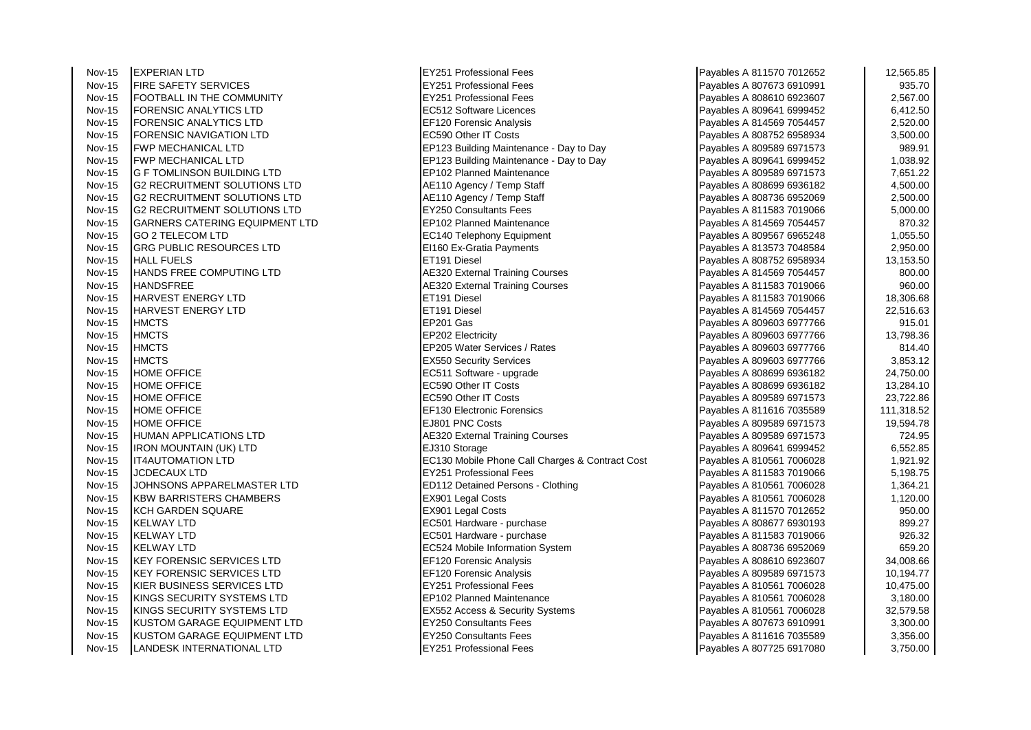| Nov-15 | <b>EXPERIAN LTD</b>                   | <b>EY251 Professional Fees</b>                  | Payables A 811570 7012652 | 12,565.85  |
|--------|---------------------------------------|-------------------------------------------------|---------------------------|------------|
| Nov-15 | <b>FIRE SAFETY SERVICES</b>           | <b>EY251 Professional Fees</b>                  | Payables A 807673 6910991 | 935.70     |
| Nov-15 | FOOTBALL IN THE COMMUNITY             | <b>EY251 Professional Fees</b>                  | Payables A 808610 6923607 | 2,567.00   |
| Nov-15 | FORENSIC ANALYTICS LTD                | EC512 Software Licences                         | Payables A 809641 6999452 | 6,412.50   |
| Nov-15 | FORENSIC ANALYTICS LTD                | EF120 Forensic Analysis                         | Payables A 814569 7054457 | 2,520.00   |
| Nov-15 | FORENSIC NAVIGATION LTD               | EC590 Other IT Costs                            | Payables A 808752 6958934 | 3,500.00   |
| Nov-15 | <b>FWP MECHANICAL LTD</b>             | EP123 Building Maintenance - Day to Day         | Payables A 809589 6971573 | 989.91     |
| Nov-15 | <b>FWP MECHANICAL LTD</b>             | EP123 Building Maintenance - Day to Day         | Payables A 809641 6999452 | 1,038.92   |
| Nov-15 | <b>G F TOMLINSON BUILDING LTD</b>     | EP102 Planned Maintenance                       | Payables A 809589 6971573 | 7,651.22   |
| Nov-15 | <b>G2 RECRUITMENT SOLUTIONS LTD</b>   | AE110 Agency / Temp Staff                       | Payables A 808699 6936182 | 4,500.00   |
| Nov-15 | <b>G2 RECRUITMENT SOLUTIONS LTD</b>   | AE110 Agency / Temp Staff                       | Payables A 808736 6952069 | 2,500.00   |
| Nov-15 | <b>G2 RECRUITMENT SOLUTIONS LTD</b>   | <b>EY250 Consultants Fees</b>                   | Payables A 811583 7019066 | 5,000.00   |
| Nov-15 | <b>GARNERS CATERING EQUIPMENT LTD</b> | EP102 Planned Maintenance                       | Payables A 814569 7054457 | 870.32     |
| Nov-15 | <b>GO 2 TELECOM LTD</b>               | <b>EC140 Telephony Equipment</b>                | Payables A 809567 6965248 | 1,055.50   |
| Nov-15 | GRG PUBLIC RESOURCES LTD              | EI160 Ex-Gratia Payments                        | Payables A 813573 7048584 | 2,950.00   |
| Nov-15 | <b>HALL FUELS</b>                     | ET191 Diesel                                    | Payables A 808752 6958934 | 13,153.50  |
| Nov-15 | HANDS FREE COMPUTING LTD              | <b>AE320 External Training Courses</b>          | Payables A 814569 7054457 | 800.00     |
| Nov-15 | <b>HANDSFREE</b>                      | <b>AE320 External Training Courses</b>          | Payables A 811583 7019066 | 960.00     |
| Nov-15 | <b>HARVEST ENERGY LTD</b>             | ET191 Diesel                                    | Payables A 811583 7019066 | 18,306.68  |
| Nov-15 | HARVEST ENERGY LTD                    | ET191 Diesel                                    | Payables A 814569 7054457 | 22,516.63  |
| Nov-15 | <b>HMCTS</b>                          | EP201 Gas                                       | Payables A 809603 6977766 | 915.01     |
| Nov-15 | <b>HMCTS</b>                          | EP202 Electricity                               | Payables A 809603 6977766 | 13,798.36  |
| Nov-15 | <b>HMCTS</b>                          | EP205 Water Services / Rates                    | Payables A 809603 6977766 | 814.40     |
| Nov-15 | <b>HMCTS</b>                          | <b>EX550 Security Services</b>                  | Payables A 809603 6977766 | 3,853.12   |
| Nov-15 | <b>HOME OFFICE</b>                    | EC511 Software - upgrade                        | Payables A 808699 6936182 | 24,750.00  |
| Nov-15 | <b>HOME OFFICE</b>                    | EC590 Other IT Costs                            | Payables A 808699 6936182 | 13,284.10  |
| Nov-15 | <b>HOME OFFICE</b>                    | EC590 Other IT Costs                            | Payables A 809589 6971573 | 23,722.86  |
| Nov-15 | <b>HOME OFFICE</b>                    | EF130 Electronic Forensics                      | Payables A 811616 7035589 | 111,318.52 |
| Nov-15 | <b>HOME OFFICE</b>                    | EJ801 PNC Costs                                 | Payables A 809589 6971573 | 19,594.78  |
| Nov-15 | HUMAN APPLICATIONS LTD                | <b>AE320 External Training Courses</b>          | Payables A 809589 6971573 | 724.95     |
| Nov-15 | IRON MOUNTAIN (UK) LTD                | EJ310 Storage                                   | Payables A 809641 6999452 | 6,552.85   |
| Nov-15 | <b>IT4AUTOMATION LTD</b>              | EC130 Mobile Phone Call Charges & Contract Cost | Payables A 810561 7006028 | 1,921.92   |
| Nov-15 | JCDECAUX LTD                          | <b>EY251 Professional Fees</b>                  | Payables A 811583 7019066 | 5,198.75   |
| Nov-15 | JOHNSONS APPARELMASTER LTD            | ED112 Detained Persons - Clothing               | Payables A 810561 7006028 | 1,364.21   |
| Nov-15 | <b>KBW BARRISTERS CHAMBERS</b>        | EX901 Legal Costs                               | Payables A 810561 7006028 | 1,120.00   |
| Nov-15 | <b>KCH GARDEN SQUARE</b>              | EX901 Legal Costs                               | Payables A 811570 7012652 | 950.00     |
| Nov-15 | <b>KELWAY LTD</b>                     | EC501 Hardware - purchase                       | Payables A 808677 6930193 | 899.27     |
| Nov-15 | <b>KELWAY LTD</b>                     | EC501 Hardware - purchase                       | Payables A 811583 7019066 | 926.32     |
| Nov-15 | IKELWAY LTD                           | EC524 Mobile Information System                 | Payables A 808736 6952069 | 659.20     |
| Nov-15 | <b>KEY FORENSIC SERVICES LTD</b>      | EF120 Forensic Analysis                         | Payables A 808610 6923607 | 34,008.66  |
| Nov-15 | <b>KEY FORENSIC SERVICES LTD</b>      | <b>EF120 Forensic Analysis</b>                  | Payables A 809589 6971573 | 10,194.77  |
| Nov-15 | KIER BUSINESS SERVICES LTD            | <b>EY251 Professional Fees</b>                  | Payables A 810561 7006028 | 10,475.00  |
| Nov-15 | KINGS SECURITY SYSTEMS LTD            | <b>EP102 Planned Maintenance</b>                | Payables A 810561 7006028 | 3,180.00   |
| Nov-15 | KINGS SECURITY SYSTEMS LTD            | EX552 Access & Security Systems                 | Payables A 810561 7006028 | 32,579.58  |
| Nov-15 | KUSTOM GARAGE EQUIPMENT LTD           | <b>EY250 Consultants Fees</b>                   | Payables A 807673 6910991 | 3,300.00   |
| Nov-15 | KUSTOM GARAGE EQUIPMENT LTD           | <b>EY250 Consultants Fees</b>                   | Payables A 811616 7035589 | 3,356.00   |
| Nov-15 | <b>LANDESK INTERNATIONAL LTD</b>      | <b>EY251 Professional Fees</b>                  | Payables A 807725 6917080 | 3,750.00   |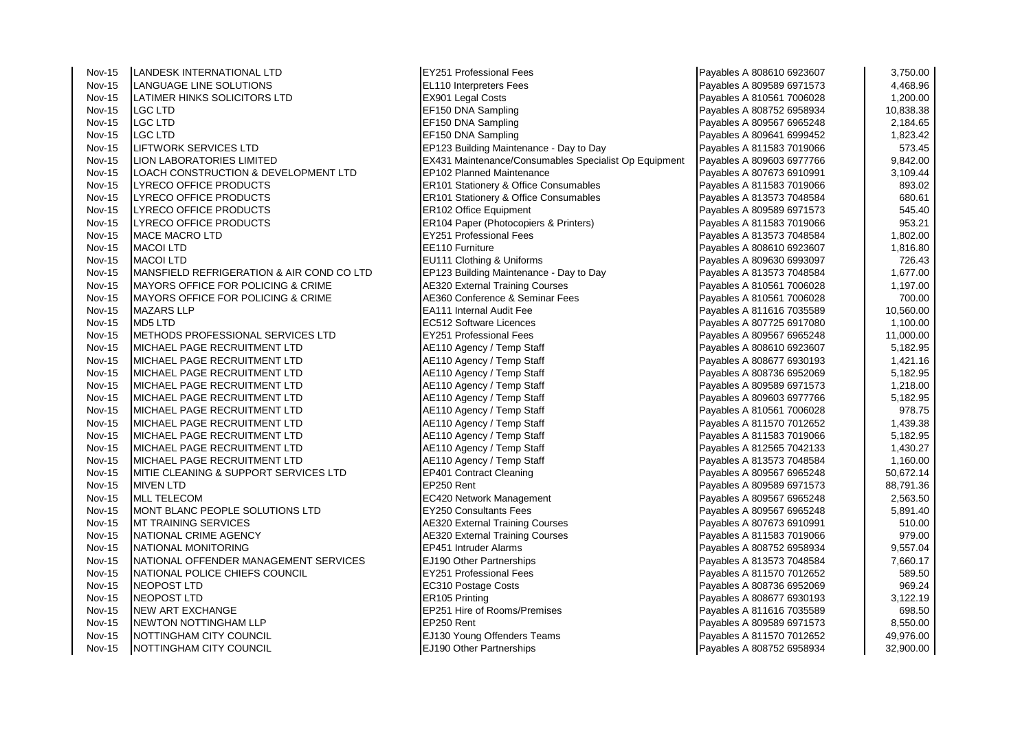| <b>Nov-15</b> | LANDESK INTERNATIONAL LTD                      | <b>EY251 Professional Fees</b>                        | Payables A 808610 6923607 | 3,750.00  |
|---------------|------------------------------------------------|-------------------------------------------------------|---------------------------|-----------|
| <b>Nov-15</b> | <b>LANGUAGE LINE SOLUTIONS</b>                 | EL110 Interpreters Fees                               | Payables A 809589 6971573 | 4,468.96  |
| <b>Nov-15</b> | LATIMER HINKS SOLICITORS LTD                   | EX901 Legal Costs                                     | Payables A 810561 7006028 | 1,200.00  |
| <b>Nov-15</b> | LGC LTD                                        | EF150 DNA Sampling                                    | Payables A 808752 6958934 | 10,838.38 |
| Nov-15        | <b>LGC LTD</b>                                 | EF150 DNA Sampling                                    | Payables A 809567 6965248 | 2,184.65  |
| <b>Nov-15</b> | <b>LGC LTD</b>                                 | EF150 DNA Sampling                                    | Payables A 809641 6999452 | 1,823.42  |
| <b>Nov-15</b> | <b>LIFTWORK SERVICES LTD</b>                   | EP123 Building Maintenance - Day to Day               | Payables A 811583 7019066 | 573.45    |
| <b>Nov-15</b> | <b>LION LABORATORIES LIMITED</b>               | EX431 Maintenance/Consumables Specialist Op Equipment | Payables A 809603 6977766 | 9,842.00  |
| <b>Nov-15</b> | LOACH CONSTRUCTION & DEVELOPMENT LTD           | EP102 Planned Maintenance                             | Payables A 807673 6910991 | 3,109.44  |
| <b>Nov-15</b> | LYRECO OFFICE PRODUCTS                         | <b>ER101 Stationery &amp; Office Consumables</b>      | Payables A 811583 7019066 | 893.02    |
| <b>Nov-15</b> | LYRECO OFFICE PRODUCTS                         | ER101 Stationery & Office Consumables                 | Payables A 813573 7048584 | 680.61    |
| <b>Nov-15</b> | <b>LYRECO OFFICE PRODUCTS</b>                  | <b>ER102 Office Equipment</b>                         | Payables A 809589 6971573 | 545.40    |
| <b>Nov-15</b> | LYRECO OFFICE PRODUCTS                         | ER104 Paper (Photocopiers & Printers)                 | Payables A 811583 7019066 | 953.21    |
| <b>Nov-15</b> | <b>MACE MACRO LTD</b>                          | <b>EY251 Professional Fees</b>                        | Payables A 813573 7048584 | 1,802.00  |
| <b>Nov-15</b> | <b>MACOI LTD</b>                               | EE110 Furniture                                       | Payables A 808610 6923607 | 1,816.80  |
| <b>Nov-15</b> | <b>MACOI LTD</b>                               | EU111 Clothing & Uniforms                             | Payables A 809630 6993097 | 726.43    |
| Nov-15        | MANSFIELD REFRIGERATION & AIR COND CO LTD      | EP123 Building Maintenance - Day to Day               | Payables A 813573 7048584 | 1,677.00  |
| <b>Nov-15</b> | <b>MAYORS OFFICE FOR POLICING &amp; CRIME</b>  | <b>AE320 External Training Courses</b>                | Payables A 810561 7006028 | 1,197.00  |
| <b>Nov-15</b> | <b>IMAYORS OFFICE FOR POLICING &amp; CRIME</b> | AE360 Conference & Seminar Fees                       | Payables A 810561 7006028 | 700.00    |
| <b>Nov-15</b> | <b>MAZARS LLP</b>                              | EA111 Internal Audit Fee                              | Payables A 811616 7035589 | 10,560.00 |
| <b>Nov-15</b> | <b>MD5 LTD</b>                                 | EC512 Software Licences                               | Payables A 807725 6917080 | 1,100.00  |
| <b>Nov-15</b> | METHODS PROFESSIONAL SERVICES LTD              | <b>EY251 Professional Fees</b>                        | Payables A 809567 6965248 | 11,000.00 |
| <b>Nov-15</b> | MICHAEL PAGE RECRUITMENT LTD                   | AE110 Agency / Temp Staff                             | Payables A 808610 6923607 | 5,182.95  |
| <b>Nov-15</b> | MICHAEL PAGE RECRUITMENT LTD                   | AE110 Agency / Temp Staff                             | Payables A 808677 6930193 | 1,421.16  |
| <b>Nov-15</b> | MICHAEL PAGE RECRUITMENT LTD                   | AE110 Agency / Temp Staff                             | Payables A 808736 6952069 | 5,182.95  |
| <b>Nov-15</b> | IMICHAEL PAGE RECRUITMENT LTD                  | AE110 Agency / Temp Staff                             | Payables A 809589 6971573 | 1,218.00  |
| <b>Nov-15</b> | IMICHAEL PAGE RECRUITMENT LTD                  | AE110 Agency / Temp Staff                             | Payables A 809603 6977766 | 5,182.95  |
| <b>Nov-15</b> | MICHAEL PAGE RECRUITMENT LTD                   | AE110 Agency / Temp Staff                             | Payables A 810561 7006028 | 978.75    |
| Nov-15        | MICHAEL PAGE RECRUITMENT LTD                   | AE110 Agency / Temp Staff                             | Payables A 811570 7012652 | 1,439.38  |
| <b>Nov-15</b> | MICHAEL PAGE RECRUITMENT LTD                   | AE110 Agency / Temp Staff                             | Payables A 811583 7019066 | 5,182.95  |
| <b>Nov-15</b> | MICHAEL PAGE RECRUITMENT LTD                   | AE110 Agency / Temp Staff                             | Payables A 812565 7042133 | 1,430.27  |
| <b>Nov-15</b> | IMICHAEL PAGE RECRUITMENT LTD                  | AE110 Agency / Temp Staff                             | Payables A 813573 7048584 | 1,160.00  |
| <b>Nov-15</b> | IMITIE CLEANING & SUPPORT SERVICES LTD         | <b>EP401 Contract Cleaning</b>                        | Payables A 809567 6965248 | 50,672.14 |
| <b>Nov-15</b> | <b>MIVEN LTD</b>                               | EP250 Rent                                            | Payables A 809589 6971573 | 88,791.36 |
| <b>Nov-15</b> | <b>MLL TELECOM</b>                             | EC420 Network Management                              | Payables A 809567 6965248 | 2,563.50  |
| <b>Nov-15</b> | MONT BLANC PEOPLE SOLUTIONS LTD                | <b>EY250 Consultants Fees</b>                         | Payables A 809567 6965248 | 5,891.40  |
| <b>Nov-15</b> | <b>MT TRAINING SERVICES</b>                    | <b>AE320 External Training Courses</b>                | Payables A 807673 6910991 | 510.00    |
| <b>Nov-15</b> | NATIONAL CRIME AGENCY                          | <b>AE320 External Training Courses</b>                | Payables A 811583 7019066 | 979.00    |
| <b>Nov-15</b> | NATIONAL MONITORING                            | EP451 Intruder Alarms                                 | Payables A 808752 6958934 | 9,557.04  |
| <b>Nov-15</b> | NATIONAL OFFENDER MANAGEMENT SERVICES          | EJ190 Other Partnerships                              | Payables A 813573 7048584 | 7,660.17  |
| <b>Nov-15</b> | NATIONAL POLICE CHIEFS COUNCIL                 | <b>EY251 Professional Fees</b>                        | Payables A 811570 7012652 | 589.50    |
| <b>Nov-15</b> | <b>NEOPOST LTD</b>                             | EC310 Postage Costs                                   | Payables A 808736 6952069 | 969.24    |
| <b>Nov-15</b> | <b>NEOPOST LTD</b>                             | ER105 Printing                                        | Payables A 808677 6930193 | 3,122.19  |
| <b>Nov-15</b> | <b>NEW ART EXCHANGE</b>                        | EP251 Hire of Rooms/Premises                          | Payables A 811616 7035589 | 698.50    |
| <b>Nov-15</b> | NEWTON NOTTINGHAM LLP                          | EP250 Rent                                            | Payables A 809589 6971573 | 8,550.00  |
| Nov-15        | NOTTINGHAM CITY COUNCIL                        | EJ130 Young Offenders Teams                           | Payables A 811570 7012652 | 49,976.00 |
| <b>Nov-15</b> | NOTTINGHAM CITY COUNCIL                        | EJ190 Other Partnerships                              | Payables A 808752 6958934 | 32,900.00 |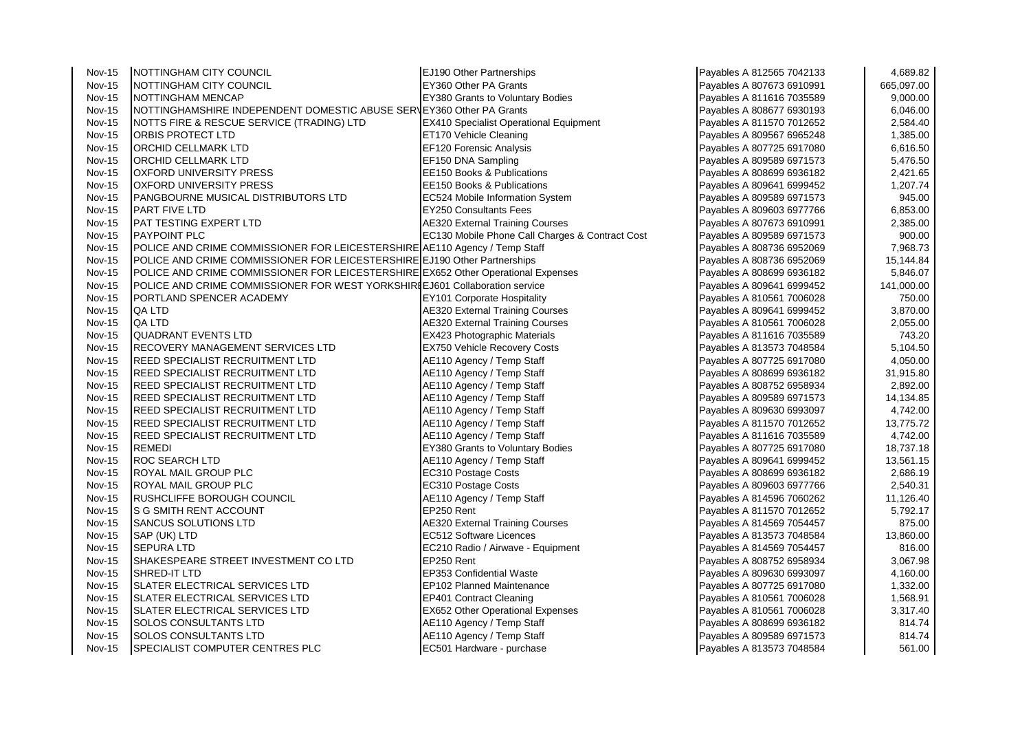| <b>Nov-15</b> | NOTTINGHAM CITY COUNCIL                                                           | EJ190 Other Partnerships                        | Payables A 812565 7042133 | 4,689.82   |
|---------------|-----------------------------------------------------------------------------------|-------------------------------------------------|---------------------------|------------|
| <b>Nov-15</b> | NOTTINGHAM CITY COUNCIL                                                           | EY360 Other PA Grants                           | Payables A 807673 6910991 | 665,097.00 |
| <b>Nov-15</b> | NOTTINGHAM MENCAP                                                                 | <b>EY380 Grants to Voluntary Bodies</b>         | Payables A 811616 7035589 | 9,000.00   |
| <b>Nov-15</b> | NOTTINGHAMSHIRE INDEPENDENT DOMESTIC ABUSE SERVEY360 Other PA Grants              |                                                 | Payables A 808677 6930193 | 6,046.00   |
| <b>Nov-15</b> | NOTTS FIRE & RESCUE SERVICE (TRADING) LTD                                         | <b>EX410 Specialist Operational Equipment</b>   | Payables A 811570 7012652 | 2,584.40   |
| <b>Nov-15</b> | ORBIS PROTECT LTD                                                                 | ET170 Vehicle Cleaning                          | Payables A 809567 6965248 | 1,385.00   |
| <b>Nov-15</b> | ORCHID CELLMARK LTD                                                               | EF120 Forensic Analysis                         | Payables A 807725 6917080 | 6,616.50   |
| <b>Nov-15</b> | ORCHID CELLMARK LTD                                                               | EF150 DNA Sampling                              | Payables A 809589 6971573 | 5,476.50   |
| <b>Nov-15</b> | <b>OXFORD UNIVERSITY PRESS</b>                                                    | EE150 Books & Publications                      | Payables A 808699 6936182 | 2,421.65   |
| <b>Nov-15</b> | <b>OXFORD UNIVERSITY PRESS</b>                                                    | EE150 Books & Publications                      | Payables A 809641 6999452 | 1,207.74   |
| <b>Nov-15</b> | PANGBOURNE MUSICAL DISTRIBUTORS LTD                                               | EC524 Mobile Information System                 | Payables A 809589 6971573 | 945.00     |
| <b>Nov-15</b> | <b>PART FIVE LTD</b>                                                              | <b>EY250 Consultants Fees</b>                   | Payables A 809603 6977766 | 6,853.00   |
| <b>Nov-15</b> | PAT TESTING EXPERT LTD                                                            | <b>AE320 External Training Courses</b>          | Payables A 807673 6910991 | 2,385.00   |
| <b>Nov-15</b> | <b>PAYPOINT PLC</b>                                                               | EC130 Mobile Phone Call Charges & Contract Cost | Payables A 809589 6971573 | 900.00     |
| <b>Nov-15</b> | POLICE AND CRIME COMMISSIONER FOR LEICESTERSHIRE AE110 Agency / Temp Staff        |                                                 | Payables A 808736 6952069 | 7,968.73   |
| <b>Nov-15</b> | POLICE AND CRIME COMMISSIONER FOR LEICESTERSHIRE EJ190 Other Partnerships         |                                                 | Payables A 808736 6952069 | 15,144.84  |
| <b>Nov-15</b> | POLICE AND CRIME COMMISSIONER FOR LEICESTERSHIRE EX652 Other Operational Expenses |                                                 | Payables A 808699 6936182 | 5,846.07   |
| <b>Nov-15</b> | POLICE AND CRIME COMMISSIONER FOR WEST YORKSHIRI EJ601 Collaboration service      |                                                 | Payables A 809641 6999452 | 141,000.00 |
| <b>Nov-15</b> | PORTLAND SPENCER ACADEMY                                                          | <b>EY101 Corporate Hospitality</b>              | Payables A 810561 7006028 | 750.00     |
| <b>Nov-15</b> | QA LTD                                                                            | <b>AE320 External Training Courses</b>          | Payables A 809641 6999452 | 3,870.00   |
| <b>Nov-15</b> | QA LTD                                                                            | <b>AE320 External Training Courses</b>          | Payables A 810561 7006028 | 2,055.00   |
| <b>Nov-15</b> | <b>QUADRANT EVENTS LTD</b>                                                        | <b>EX423 Photographic Materials</b>             | Payables A 811616 7035589 | 743.20     |
| <b>Nov-15</b> | RECOVERY MANAGEMENT SERVICES LTD                                                  | <b>EX750 Vehicle Recovery Costs</b>             | Payables A 813573 7048584 | 5,104.50   |
| <b>Nov-15</b> | REED SPECIALIST RECRUITMENT LTD                                                   | AE110 Agency / Temp Staff                       | Payables A 807725 6917080 | 4,050.00   |
| <b>Nov-15</b> | REED SPECIALIST RECRUITMENT LTD                                                   | AE110 Agency / Temp Staff                       | Payables A 808699 6936182 | 31,915.80  |
| <b>Nov-15</b> | REED SPECIALIST RECRUITMENT LTD                                                   | AE110 Agency / Temp Staff                       | Payables A 808752 6958934 | 2,892.00   |
| <b>Nov-15</b> | REED SPECIALIST RECRUITMENT LTD                                                   | AE110 Agency / Temp Staff                       | Payables A 809589 6971573 | 14,134.85  |
| <b>Nov-15</b> | REED SPECIALIST RECRUITMENT LTD                                                   | AE110 Agency / Temp Staff                       | Payables A 809630 6993097 | 4,742.00   |
| <b>Nov-15</b> | REED SPECIALIST RECRUITMENT LTD                                                   | AE110 Agency / Temp Staff                       | Payables A 811570 7012652 | 13,775.72  |
| <b>Nov-15</b> | REED SPECIALIST RECRUITMENT LTD                                                   | AE110 Agency / Temp Staff                       | Payables A 811616 7035589 | 4,742.00   |
| <b>Nov-15</b> | REMEDI                                                                            | EY380 Grants to Voluntary Bodies                | Payables A 807725 6917080 | 18,737.18  |
| <b>Nov-15</b> | ROC SEARCH LTD                                                                    | AE110 Agency / Temp Staff                       | Payables A 809641 6999452 | 13,561.15  |
| <b>Nov-15</b> | ROYAL MAIL GROUP PLC                                                              | EC310 Postage Costs                             | Payables A 808699 6936182 | 2,686.19   |
| <b>Nov-15</b> | ROYAL MAIL GROUP PLC                                                              | EC310 Postage Costs                             | Payables A 809603 6977766 | 2,540.31   |
| <b>Nov-15</b> | RUSHCLIFFE BOROUGH COUNCIL                                                        | AE110 Agency / Temp Staff                       | Payables A 814596 7060262 | 11,126.40  |
| <b>Nov-15</b> | S G SMITH RENT ACCOUNT                                                            | EP250 Rent                                      | Payables A 811570 7012652 | 5,792.17   |
| <b>Nov-15</b> | SANCUS SOLUTIONS LTD                                                              | <b>AE320 External Training Courses</b>          | Payables A 814569 7054457 | 875.00     |
| <b>Nov-15</b> | SAP (UK) LTD                                                                      | EC512 Software Licences                         | Payables A 813573 7048584 | 13,860.00  |
| <b>Nov-15</b> | <b>SEPURA LTD</b>                                                                 | EC210 Radio / Airwave - Equipment               | Payables A 814569 7054457 | 816.00     |
| <b>Nov-15</b> | SHAKESPEARE STREET INVESTMENT CO LTD                                              | EP250 Rent                                      | Payables A 808752 6958934 | 3,067.98   |
| <b>Nov-15</b> | SHRED-IT LTD                                                                      | <b>EP353 Confidential Waste</b>                 | Payables A 809630 6993097 | 4,160.00   |
| <b>Nov-15</b> | SLATER ELECTRICAL SERVICES LTD                                                    | EP102 Planned Maintenance                       | Payables A 807725 6917080 | 1,332.00   |
| <b>Nov-15</b> | SLATER ELECTRICAL SERVICES LTD                                                    | <b>EP401 Contract Cleaning</b>                  | Payables A 810561 7006028 | 1,568.91   |
| <b>Nov-15</b> | SLATER ELECTRICAL SERVICES LTD                                                    | EX652 Other Operational Expenses                | Payables A 810561 7006028 | 3,317.40   |
| <b>Nov-15</b> | SOLOS CONSULTANTS LTD                                                             | AE110 Agency / Temp Staff                       | Payables A 808699 6936182 | 814.74     |
| <b>Nov-15</b> | SOLOS CONSULTANTS LTD                                                             | AE110 Agency / Temp Staff                       | Payables A 809589 6971573 | 814.74     |
| <b>Nov-15</b> | SPECIALIST COMPUTER CENTRES PLC                                                   | EC501 Hardware - purchase                       | Payables A 813573 7048584 | 561.00     |
|               |                                                                                   |                                                 |                           |            |